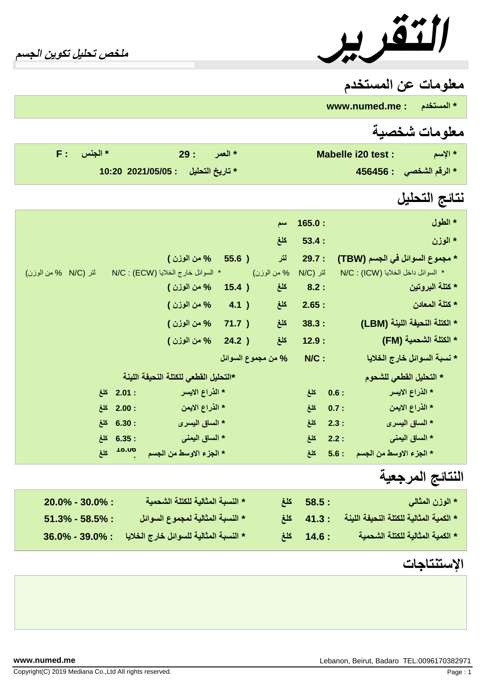*التقریر ملخص تحلیل تكوین الجسم*

## **معلومات عن المستخدم**

**\* المستخدم www.numed.me :**

## **معلومات شخصیة**

| $F:$ الجنس $*$ | العمر : 29 $^*$ | Mabelle i20 test : | * الإسم                         |
|----------------|-----------------|--------------------|---------------------------------|
|                |                 |                    | * الرقم الشخص <i>ى</i> : 456456 |

## **نتائج التحلیل**

|                      |                        |                                       |       | سنم                | 165.0:          |      | * الطول                            |
|----------------------|------------------------|---------------------------------------|-------|--------------------|-----------------|------|------------------------------------|
|                      |                        |                                       |       | كلغ                | 53.4:           |      | * الموزن                           |
|                      |                        | % من الوزن )                          | 55.6) | لتر                | 29.7:           |      | * مجموع السوائل في الجسم (TBW)     |
| لتر (N/C % من الوزن) |                        | * السوائل خارج الخلايا (ECW) : N/C    |       | % من الوزن)        | <b>N/C)</b> لتر |      | * السوائل داخل الخلايا (ICW) : N/C |
|                      |                        | % من الوزن )                          | 15.4) | كلغ                | 8.2:            |      | * كتلة البروتين                    |
|                      |                        | % من الوزن )                          | 4.1)  | كلغ                | 2.65:           |      | * كتلة المعادن                     |
|                      |                        | % من الوزن )                          | 71.7) | كلغ                | 38.3:           |      | * الكتلة النحيفة اللينة (LBM)      |
|                      |                        | % من الوزن )                          | 24.2) | كلغ                | 12.9:           |      | * الكتلة الشحمية (FM)              |
|                      |                        |                                       |       | % من مجموع السوائل | $N/C$ :         |      | * نسبة السوائل خارج الخلايا        |
|                      |                        | *التحليل القطعي للكتلة النحيفة اللينة |       |                    |                 |      | * التحليل الفطعي للشحوم            |
|                      | : 2.01 كلغ             | * الذراع الايسر                       |       |                    | كلغ             | 0.6: | * الذراع الايسر                    |
|                      | : 2.00 كلغ             | * الذراع الايمن                       |       |                    | كلغ             | 0.7: | * الذراع الايمن                    |
|                      | $6.30:$ كلغ            | * الساق اليسرى                        |       |                    | كلغ             | 2.3: | * الساق اليسرى                     |
|                      | : 6.35 كلغ             | * الساق اليمني                        |       |                    | كلغ             | 2.2: | * الساق اليمني                     |
|                      | 0 <sup>10.UD</sup> كلغ | * الجزء الاوسط من الجسم               |       |                    | كلغ             | 5.6: | * الجزء الاوسط من الجسم            |
|                      |                        |                                       |       |                    |                 |      | النتائج المرجعيه                   |

| $20.0\% - 30.0\%$ : | * النسبة المثالية للكتلة الشحمية       | $58.5:$ كَلَغ                             | * الوزن المثالي                         |
|---------------------|----------------------------------------|-------------------------------------------|-----------------------------------------|
| $51.3\% - 58.5\%$ : | * النسبة المثالية لمجموع السوائل       | ا 41.3 $\overline{a}$ 21.3 $\overline{b}$ | * الكمية المثالية للكتلة النحيفة اللينة |
| $36.0\% - 39.0\%$ : | * النسبة المثالية للسوائل خارج الخلايا | : 14.6 كلغ                                | * الكمية المثالية للكتلة الشحمية        |

## **الإستنتاجات**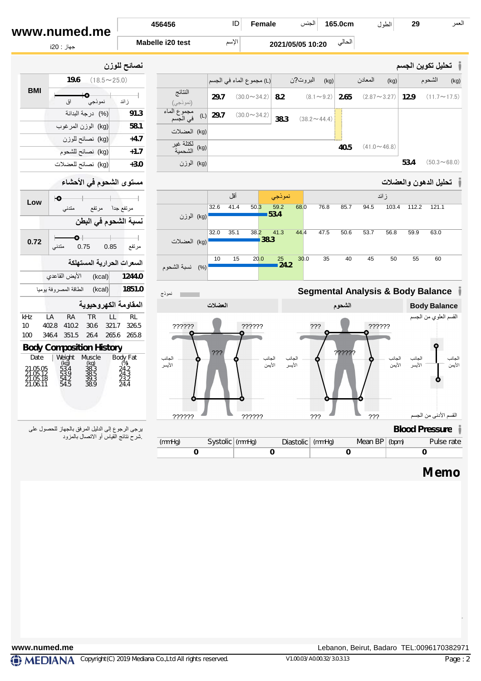| www.numed.me | 456456           | ID    | Female | 165.0cm<br>ُ الجنس | طہ | 29 | العمر |
|--------------|------------------|-------|--------|--------------------|----|----|-------|
| جهاز : i20   | Mabelle i20 test | الاسم |        | 2021/05/05 10:20   |    |    |       |
|              |                  |       |        |                    |    |    |       |

| نصائح للوزن  |                         |            |      |                          |                      |      |                       |                         |      | ا تحليل تكوين الجسم ا |      |
|--------------|-------------------------|------------|------|--------------------------|----------------------|------|-----------------------|-------------------------|------|-----------------------|------|
| $\sim$ 25.0) |                         |            |      | L) مجموع الماء في الجسم  | / البروت?ن           | (kg) |                       | المعادن                 | (kg) | الشحوم                | (kg) |
| ز ائد        | النتائج<br>(نموذجي)     |            | 29.7 | $(30.0 \sim 34.2)$   8.2 |                      |      | $(8.1 \sim 9.2)$ 2.65 | $(2.87 \sim 3.27)$ 12.9 |      | $(11.7 \sim 17.5)$    |      |
| 91.3         | مجموع الماء<br>في الجسم | $(L)$ 29.7 |      | $(30.0 \sim 34.2)$ 38.3  | $(38.2 \sim 44.4)$ : |      |                       |                         |      |                       |      |

| المساحي<br>۔<br>(نموذجي)                         | 29.7 | $(30.0 \sim 34.2)$ <b>8.2</b> | $(8.1 \sim 9.2)$ 2.65 $(2.87 \sim 3.27)$ 12.9 $(11.7 \sim 17.5)$ |      |                    |      |                    |
|--------------------------------------------------|------|-------------------------------|------------------------------------------------------------------|------|--------------------|------|--------------------|
| مجموع الماء (L) 29.7 (30.0 $\sim$ 34.2) في الجسم |      |                               | $(38.2 \sim 44.4)$                                               |      |                    |      |                    |
| (kg) العضلات                                     |      |                               |                                                                  |      |                    |      |                    |
| لكتلة غير<br>(kg) الشحمية                        |      |                               |                                                                  | 40.5 | $(41.0 \sim 46.8)$ |      |                    |
| (kg) الوزن                                       |      |                               |                                                                  |      |                    | 53.4 | $(50.3 \sim 68.0)$ |

## **تحلیل الدھون والعضلات**

|                     |      | أقل  |              | نموذجي       |      |      |      |      | ز ائد |       |       |
|---------------------|------|------|--------------|--------------|------|------|------|------|-------|-------|-------|
|                     | 32.6 | 41.4 | 50.3<br>53.4 | 68.0<br>59.2 |      | 76.8 | 85.7 | 94.5 | 103.4 | 112.2 | 121.1 |
| (kg) الوزن          |      |      |              |              |      |      |      |      |       |       |       |
|                     | 32.0 | 35.1 | 38.2<br>38.3 | 41.3<br>44.4 |      | 47.5 | 50.6 | 53.7 | 56.8  | 59.9  | 63.0  |
| (kg) العضلات        |      |      |              |              |      |      |      |      |       |       |       |
|                     | 10   | 15   | 20.0         | 25<br>24.2   | 30.0 | 35   | 40   | 45   | 50    | 55    | 60    |
| نسبة الشحوم<br>(% ) |      |      |              |              |      |      |      |      |       |       |       |



## **Memo**

|     |                                  | نصائح للوزن |                           |
|-----|----------------------------------|-------------|---------------------------|
|     | <b>19.6</b> $(18.5 \sim 25.0)$   |             |                           |
| BMI | لاسوذجي المسلمات<br>نموذجي<br>اق | ز ائد       | النتائج<br>(نموذجي)       |
|     | (%) درجة البدانة                 | 91.3        |                           |
|     | (kg) الوزن المرغوب               | 58.1        | (kg) العضلات              |
|     | (kg) نصائح للوزن                 | $+4.7$      |                           |
|     | (kg) نصائح للشحوم                | $+1.7$      | لكتلة غير<br>(kg) الشحمية |
|     | (kg) نصائح للعضلات               | $+3.0$      | (kg) الوزن                |
|     | $-12.61$ $-2$ $-21$              |             |                           |

## **مستوى الشحوم في الأحشاء**

|                                              | مندنى |                                                                                             |                                                 |                          |                                                                                                                                                                                                          |      |
|----------------------------------------------|-------|---------------------------------------------------------------------------------------------|-------------------------------------------------|--------------------------|----------------------------------------------------------------------------------------------------------------------------------------------------------------------------------------------------------|------|
|                                              |       |                                                                                             |                                                 |                          |                                                                                                                                                                                                          |      |
|                                              |       |                                                                                             | 0.85                                            | مرتفع                    |                                                                                                                                                                                                          |      |
|                                              |       |                                                                                             |                                                 |                          |                                                                                                                                                                                                          | توم  |
|                                              |       |                                                                                             |                                                 |                          |                                                                                                                                                                                                          |      |
|                                              |       |                                                                                             |                                                 |                          |                                                                                                                                                                                                          | ىوذج |
|                                              |       |                                                                                             |                                                 |                          |                                                                                                                                                                                                          |      |
| LA                                           | RA    | <b>TR</b>                                                                                   | LL                                              | <b>RL</b>                |                                                                                                                                                                                                          |      |
|                                              |       | 30.6                                                                                        |                                                 | 326.5                    |                                                                                                                                                                                                          |      |
|                                              |       |                                                                                             |                                                 |                          |                                                                                                                                                                                                          |      |
|                                              |       |                                                                                             |                                                 |                          |                                                                                                                                                                                                          |      |
| Date                                         |       |                                                                                             |                                                 |                          |                                                                                                                                                                                                          |      |
| 21.05.05<br>21.05.12<br>21.05.18<br>21.06.11 |       | 38.3<br>38.5<br>38.9                                                                        |                                                 |                          |                                                                                                                                                                                                          |      |
|                                              |       |                                                                                             |                                                 |                          |                                                                                                                                                                                                          |      |
|                                              |       | ю<br>متدنى<br>الأيض القاعدي<br>402.8 410.2<br>346.4 351.5<br>Weight<br>(kg)<br>53.4<br>53.9 | 0.75<br>الطاقة المصروفة يوميا<br>Muscle<br>(kq) | (kcal)<br>(kcal)<br>26.4 | مرتفع جدا مرتفع<br>نسبة الشحوم في البطن<br>السعرات الحرارية المستهلكة<br>1244.0<br>1851.0<br>المقاومة الكهروحيوية<br>321.7<br>265.6 265.8<br><b>Body Composition History</b><br>Body Fat<br>$(\%)$<br>24 |      |

یرجى الرجوع إلى الدلیل المرفق بالجھاز للحصول على .شرح نتائج القیاس أو الاتصال بالمزود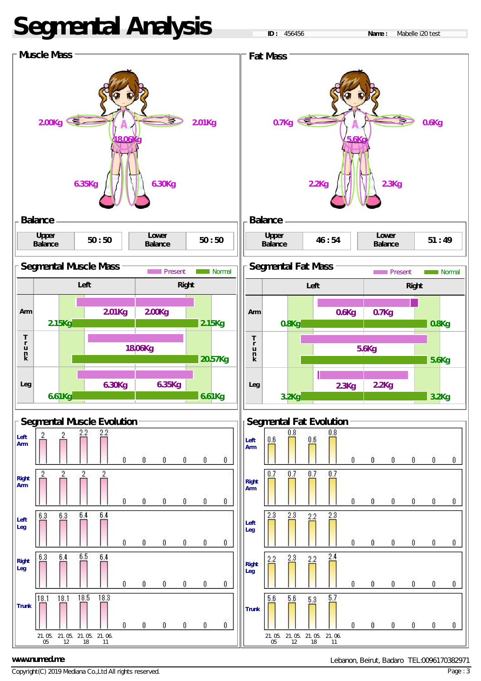# **Segmental Analysis**

**ID :** 456456 **Name :** Mabelle i20 test



### **www.numed.me**

Copyright(C) 2019 Mediana Co.,Ltd All rights reserved.

Lebanon, Beirut, Badaro TEL:0096170382971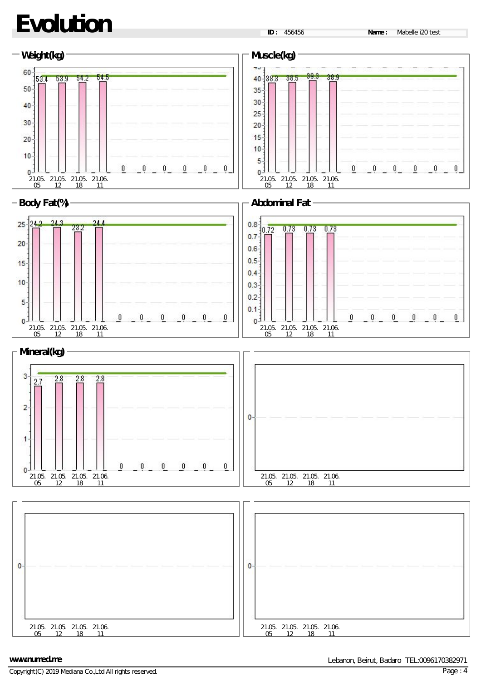# **Evolution**



### **www.numed.me**

Copyright(C) 2019 Mediana Co.,Ltd All rights reserved.

Lebanon, Beirut, Badaro TEL:0096170382971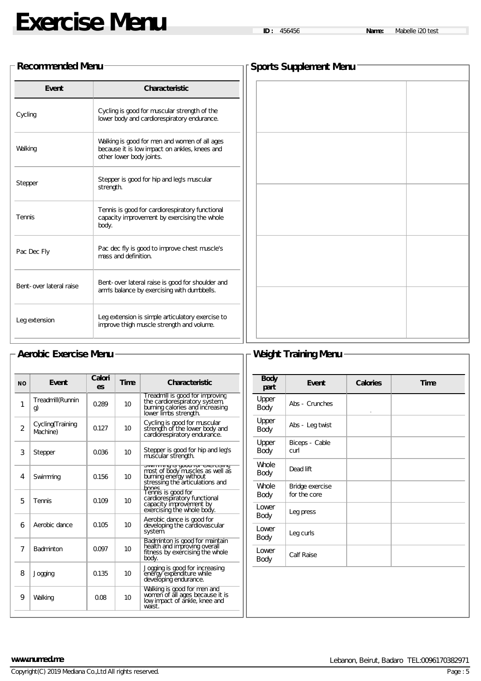# **Exercise Menu ID :** <sup>456456</sup> **Name:** Mabelle i20 test

### **Recommended Menu**

| Event                   | <b>Characteristic</b>                                                                                                      |
|-------------------------|----------------------------------------------------------------------------------------------------------------------------|
| Cycling                 | Cycling is good for muscular strength of the<br>lower body and cardiorespiratory endurance.                                |
| Walking                 | Walking is good for men and women of all ages<br>because it is low impact on ankles, knees and<br>other lower body joints. |
| Stepper                 | Stepper is good for hip and leg's muscular<br>strength.                                                                    |
| Tennis                  | Tennis is good for cardiorespiratory functional<br>capacity improvement by exercising the whole<br>body.                   |
| Pac Dec Fly             | Pac dec fly is good to improve chest muscle's<br>mass and definition.                                                      |
| Bent-over lateral raise | Bent-over lateral raise is good for shoulder and<br>arm's balance by exercising with dumbbells.                            |
| Leg extension           | Leg extension is simple articulatory exercise to<br>improve thigh muscle strength and volume.                              |

| <b>Sports Supplement Menu</b> |  |  |  |  |  |
|-------------------------------|--|--|--|--|--|
|                               |  |  |  |  |  |
|                               |  |  |  |  |  |
|                               |  |  |  |  |  |
|                               |  |  |  |  |  |
|                               |  |  |  |  |  |
|                               |  |  |  |  |  |
|                               |  |  |  |  |  |
|                               |  |  |  |  |  |
|                               |  |  |  |  |  |
|                               |  |  |  |  |  |
|                               |  |  |  |  |  |
|                               |  |  |  |  |  |
|                               |  |  |  |  |  |
|                               |  |  |  |  |  |
|                               |  |  |  |  |  |
|                               |  |  |  |  |  |
|                               |  |  |  |  |  |
|                               |  |  |  |  |  |
|                               |  |  |  |  |  |
|                               |  |  |  |  |  |

## - Aerobic Exercise Menu <del>- And Menu - And Menu</del> - Weight Training Menu -

| <b>NO</b>      | Event                         | Calori<br>es | Time | <b>Characteristic</b>                                                                                                          |
|----------------|-------------------------------|--------------|------|--------------------------------------------------------------------------------------------------------------------------------|
| 1              | Treadmill(Runnin<br>g)        | 0.289        | 10   | Treadmill is good for improving<br>the cardiorespiratory system,<br>burning calories and increasing<br>lower limbs strength.   |
| $\mathfrak{p}$ | Cycling (Training<br>Machine) | 0.127        | 10   | Cycling is good for muscular<br>strength of the lower body and<br>cardiorespiratory endurance.                                 |
| 3              | Stepper                       | 0.036        | 10   | Stepper is good for hip and leg's<br>muscular strength.                                                                        |
| 4              | Swimming                      | 0.156        | 10   | טוווווווווווע וטעט פו Lununuvc<br>most of body muscles as well as<br>burning energy without<br>stressing the articulations and |
| 5              | Tennis                        | 0.109        | 10   | hones<br>Tennis is good for<br>cardiorespiratory functional<br>capacity improvement by<br>exercising the whole body.           |
| 6              | Aerobic dance                 | 0.105        | 10   | Aerobic dance is good for<br>developing the cardiovascular<br>system.                                                          |
| 7              | Badminton                     | 0.097        | 10   | Badminton is good for maintain<br>health and improving overall<br>fitness by exercising the whole<br>body.                     |
| 8              | Jogging                       | 0.135        | 10   | Jogging is good for increasing<br>energy expenditure while<br>developing endurance.                                            |
| 9              | Walking                       | 0.08         | 10   | Walking is good for men and<br>women of all ages because it is<br>low impact of ankle, knee and<br>waist.                      |

| <b>Body</b><br>part | <b>Event</b>                    | <b>Calories</b> | <b>Time</b> |
|---------------------|---------------------------------|-----------------|-------------|
| Upper<br>Body       | Abs - Crunches                  | $\circ$         |             |
| Upper<br>Body       | Abs - Leg twist                 |                 |             |
| Upper<br>Body       | Biceps - Cable<br>curl          |                 |             |
| Whole<br>Body       | Dead lift                       |                 |             |
| Whole<br>Body       | Bridge exercise<br>for the core |                 |             |
| Lower<br>Body       | Leg press                       |                 |             |
| Lower<br>Body       | Leg curls                       |                 |             |
| Lower<br>Body       | Calf Raise                      |                 |             |
|                     |                                 |                 |             |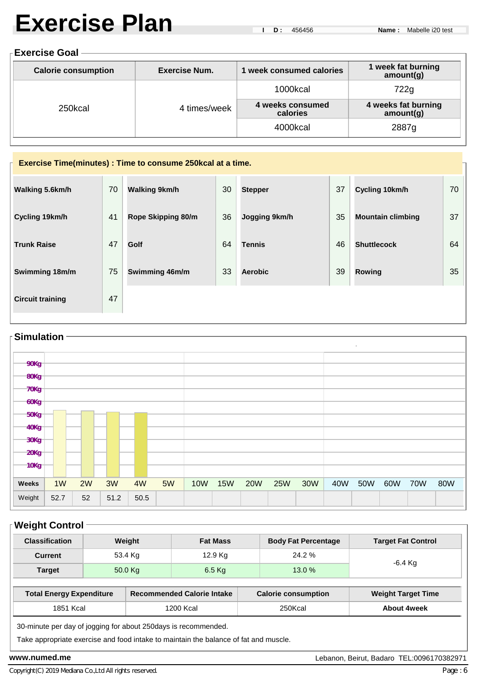# **Exercise Plan**

### **Exercise Goal**

| <b>Calorie consumption</b><br>Exercise Num. |              | week consumed calories       | 1 week fat burning<br>amount(g)  |  |
|---------------------------------------------|--------------|------------------------------|----------------------------------|--|
|                                             | 4 times/week | 1000kcal                     | 722g                             |  |
| 250kcal                                     |              | 4 weeks consumed<br>calories | 4 weeks fat burning<br>amount(g) |  |
|                                             |              | 4000kcal                     | 2887g                            |  |

## **Exercise Time(minutes) : Time to consume 250kcal at a time. Walking 5.6km/h** 70 **Walking 9km/h** 30 **Stepper** 37 **Cycling 10km/h** 70

| Cycling 19km/h          | 41 | Rope Skipping 80/m | 36 | Jogging 9km/h  | 35 | <b>Mountain climbing</b> | 37 |
|-------------------------|----|--------------------|----|----------------|----|--------------------------|----|
| <b>Trunk Raise</b>      | 47 | Golf               | 64 | <b>Tennis</b>  | 46 | <b>Shuttlecock</b>       | 64 |
| Swimming 18m/m          | 75 | Swimming 46m/m     | 33 | <b>Aerobic</b> | 39 | Rowing                   | 35 |
| <b>Circuit training</b> | 47 |                    |    |                |    |                          |    |

## **Simulation**  $\overline{\phantom{a}}$ **90Kg 80Kg 70Kg 60Kg 50Kg 40Kg 30Kg 20Kg 10Kg Weeks** 1W 2W 3W 4W 5W 10W 15W 20W 25W 30W 40W 50W 60W 70W 80W Weight 52.7 52 51.2 50.5

## **Weight Control**

| <b>Classification</b>           | Weight  |  | <b>Fat Mass</b>                   | <b>Body Fat Percentage</b> | <b>Target Fat Control</b> |  |
|---------------------------------|---------|--|-----------------------------------|----------------------------|---------------------------|--|
| <b>Current</b>                  | 53.4 Kg |  | 12.9 Kg                           | 24.2%                      | -6.4 Kg                   |  |
| 50.0 Kg<br><b>Target</b>        |         |  | $6.5$ Kg                          | 13.0 %                     |                           |  |
| <b>Total Energy Expenditure</b> |         |  | <b>Recommended Calorie Intake</b> | <b>Calorie consumption</b> | <b>Weight Target Time</b> |  |
| 1851 Kcal                       |         |  | 1200 Kcal                         | 250Kcal                    | <b>About 4week</b>        |  |

30-minute per day of jogging for about 250days is recommended.

Take appropriate exercise and food intake to maintain the balance of fat and muscle.